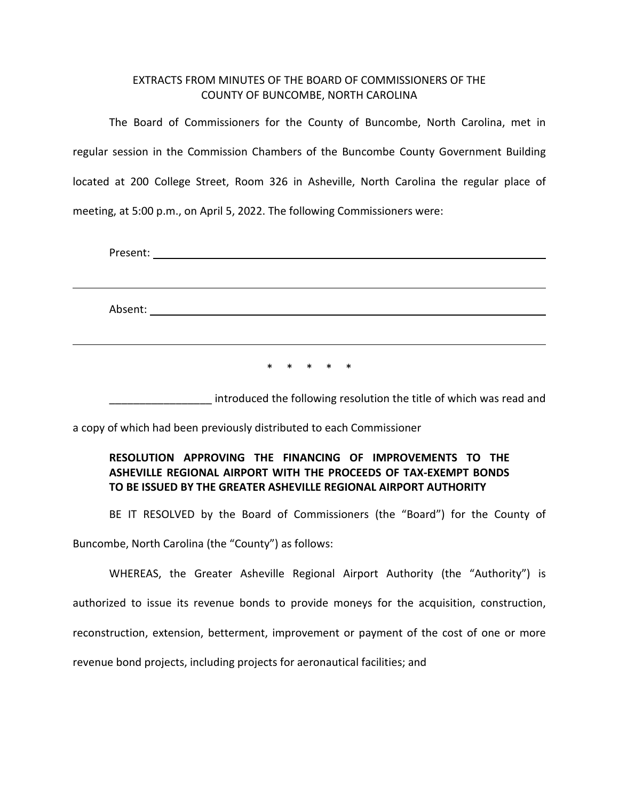## EXTRACTS FROM MINUTES OF THE BOARD OF COMMISSIONERS OF THE COUNTY OF BUNCOMBE, NORTH CAROLINA

The Board of Commissioners for the County of Buncombe, North Carolina, met in regular session in the Commission Chambers of the Buncombe County Government Building located at 200 College Street, Room 326 in Asheville, North Carolina the regular place of meeting, at 5:00 p.m., on April 5, 2022. The following Commissioners were:

Present: Absent:

\* \* \* \* \*

\_\_\_\_\_\_\_\_\_\_\_\_\_\_\_\_\_ introduced the following resolution the title of which was read and

a copy of which had been previously distributed to each Commissioner

## **RESOLUTION APPROVING THE FINANCING OF IMPROVEMENTS TO THE ASHEVILLE REGIONAL AIRPORT WITH THE PROCEEDS OF TAX-EXEMPT BONDS TO BE ISSUED BY THE GREATER ASHEVILLE REGIONAL AIRPORT AUTHORITY**

BE IT RESOLVED by the Board of Commissioners (the "Board") for the County of

Buncombe, North Carolina (the "County") as follows:

WHEREAS, the Greater Asheville Regional Airport Authority (the "Authority") is authorized to issue its revenue bonds to provide moneys for the acquisition, construction, reconstruction, extension, betterment, improvement or payment of the cost of one or more revenue bond projects, including projects for aeronautical facilities; and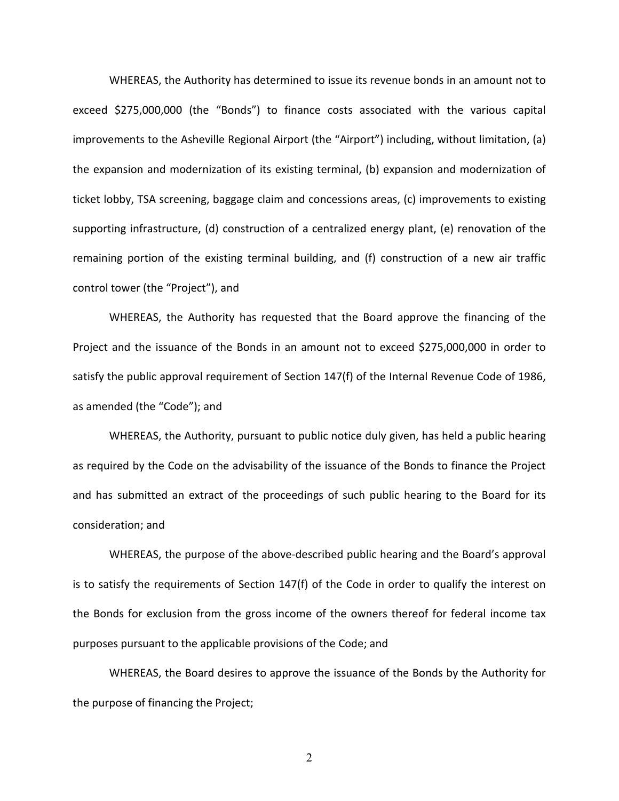WHEREAS, the Authority has determined to issue its revenue bonds in an amount not to exceed \$275,000,000 (the "Bonds") to finance costs associated with the various capital improvements to the Asheville Regional Airport (the "Airport") including, without limitation, (a) the expansion and modernization of its existing terminal, (b) expansion and modernization of ticket lobby, TSA screening, baggage claim and concessions areas, (c) improvements to existing supporting infrastructure, (d) construction of a centralized energy plant, (e) renovation of the remaining portion of the existing terminal building, and (f) construction of a new air traffic control tower (the "Project"), and

WHEREAS, the Authority has requested that the Board approve the financing of the Project and the issuance of the Bonds in an amount not to exceed \$275,000,000 in order to satisfy the public approval requirement of Section 147(f) of the Internal Revenue Code of 1986, as amended (the "Code"); and

WHEREAS, the Authority, pursuant to public notice duly given, has held a public hearing as required by the Code on the advisability of the issuance of the Bonds to finance the Project and has submitted an extract of the proceedings of such public hearing to the Board for its consideration; and

WHEREAS, the purpose of the above-described public hearing and the Board's approval is to satisfy the requirements of Section 147(f) of the Code in order to qualify the interest on the Bonds for exclusion from the gross income of the owners thereof for federal income tax purposes pursuant to the applicable provisions of the Code; and

WHEREAS, the Board desires to approve the issuance of the Bonds by the Authority for the purpose of financing the Project;

2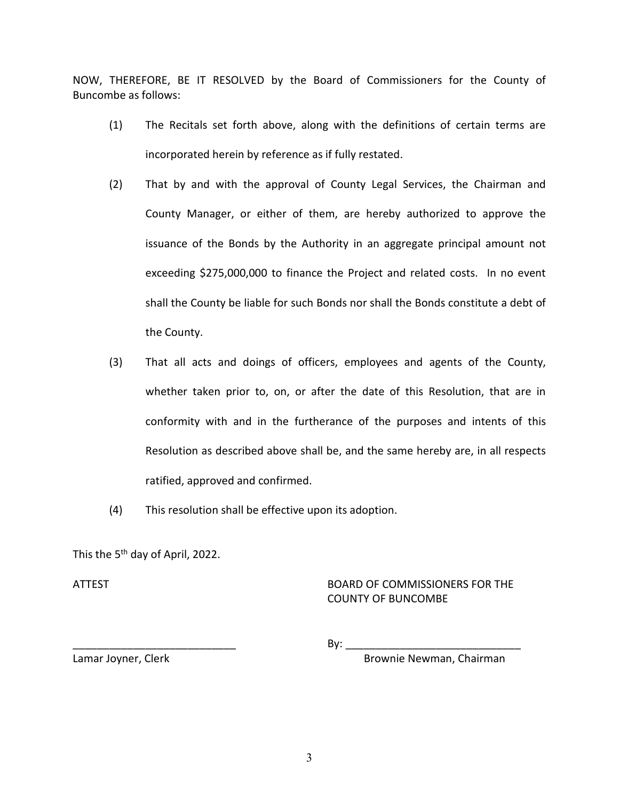NOW, THEREFORE, BE IT RESOLVED by the Board of Commissioners for the County of Buncombe as follows:

- (1) The Recitals set forth above, along with the definitions of certain terms are incorporated herein by reference as if fully restated.
- (2) That by and with the approval of County Legal Services, the Chairman and County Manager, or either of them, are hereby authorized to approve the issuance of the Bonds by the Authority in an aggregate principal amount not exceeding \$275,000,000 to finance the Project and related costs. In no event shall the County be liable for such Bonds nor shall the Bonds constitute a debt of the County.
- (3) That all acts and doings of officers, employees and agents of the County, whether taken prior to, on, or after the date of this Resolution, that are in conformity with and in the furtherance of the purposes and intents of this Resolution as described above shall be, and the same hereby are, in all respects ratified, approved and confirmed.
- (4) This resolution shall be effective upon its adoption.

This the 5<sup>th</sup> day of April, 2022.

## ATTEST BOARD OF COMMISSIONERS FOR THE COUNTY OF BUNCOMBE

\_\_\_\_\_\_\_\_\_\_\_\_\_\_\_\_\_\_\_\_\_\_\_\_\_\_\_ By: \_\_\_\_\_\_\_\_\_\_\_\_\_\_\_\_\_\_\_\_\_\_\_\_\_\_\_\_\_

Lamar Joyner, Clerk Brownie Newman, Chairman